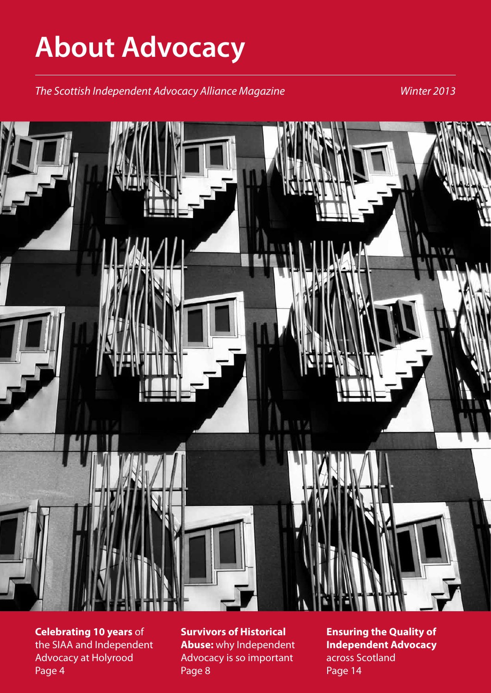# **About Advocacy**

*The Scottish Independent Advocacy Alliance Magazine Winter 2013*



**Celebrating 10 years** of the SIAA and Independent Advocacy at Holyrood Page 4

**Survivors of Historical Abuse:** why Independent Advocacy is so important Page 8

**Ensuring the Quality of Independent Advocacy**  across Scotland Page 14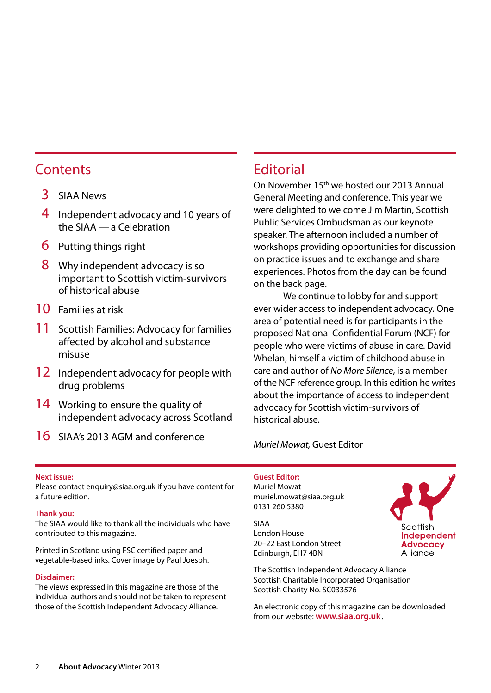### **Contents**

- 3 SIAA News
- 4 Independent advocacy and 10 years of the SIAA —a Celebration
- 6 Putting things right
- 8 Why independent advocacy is so important to Scottish victim-survivors of historical abuse
- 10 Families at risk
- 11 Scottish Families: Advocacy for families affected by alcohol and substance misuse
- 12 Independent advocacy for people with drug problems
- 14 Working to ensure the quality of independent advocacy across Scotland
- 16 SIAA's 2013 AGM and conference

### **Editorial**

On November 15<sup>th</sup> we hosted our 2013 Annual General Meeting and conference. This year we were delighted to welcome Jim Martin, Scottish Public Services Ombudsman as our keynote speaker. The afternoon included a number of workshops providing opportunities for discussion on practice issues and to exchange and share experiences. Photos from the day can be found on the back page.

We continue to lobby for and support ever wider access to independent advocacy. One area of potential need is for participants in the proposed National Confidential Forum (NCF) for people who were victims of abuse in care. David Whelan, himself a victim of childhood abuse in care and author of *No More Silence*, is a member of the NCF reference group. In this edition he writes about the importance of access to independent advocacy for Scottish victim-survivors of historical abuse.

*Muriel Mowat,* Guest Editor

#### **Next issue:**

Please contact enquiry@siaa.org.uk if you have content for a future edition.

#### **Thank you:**

The SIAA would like to thank all the individuals who have contributed to this magazine.

Printed in Scotland using FSC certified paper and vegetable-based inks. Cover image by Paul Joesph.

#### **Disclaimer:**

The views expressed in this magazine are those of the individual authors and should not be taken to represent those of the Scottish Independent Advocacy Alliance.

#### **Guest Editor:**

Muriel Mowat muriel.mowat@siaa.org.uk 0131 260 5380

SIAA London House 20–22 East London Street Edinburgh, EH7 4BN

The Scottish Independent Advocacy Alliance Scottish Charitable Incorporated Organisation Scottish Charity No. SC033576

An electronic copy of this magazine can be downloaded from our website: **www.siaa.org.uk**.

Scottish Independent **Advocacy** Alliance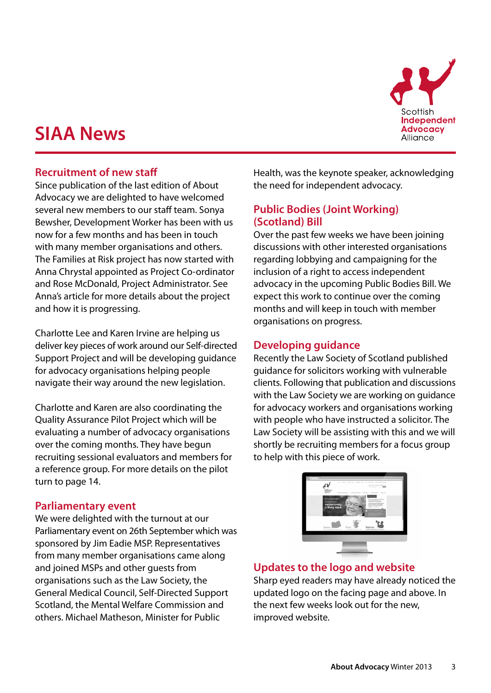### **SIAA News**



#### **Recruitment of new staff**

Since publication of the last edition of About Advocacy we are delighted to have welcomed several new members to our staff team. Sonya Bewsher, Development Worker has been with us now for a few months and has been in touch with many member organisations and others. The Families at Risk project has now started with Anna Chrystal appointed as Project Co-ordinator and Rose McDonald, Project Administrator. See Anna's article for more details about the project and how it is progressing.

Charlotte Lee and Karen Irvine are helping us deliver key pieces of work around our Self-directed Support Project and will be developing guidance for advocacy organisations helping people navigate their way around the new legislation.

Charlotte and Karen are also coordinating the Quality Assurance Pilot Project which will be evaluating a number of advocacy organisations over the coming months. They have begun recruiting sessional evaluators and members for a reference group. For more details on the pilot turn to page 14.

#### **Parliamentary event**

We were delighted with the turnout at our Parliamentary event on 26th September which was sponsored by Jim Eadie MSP. Representatives from many member organisations came along and joined MSPs and other guests from organisations such as the Law Society, the General Medical Council, Self-Directed Support Scotland, the Mental Welfare Commission and others. Michael Matheson, Minister for Public

Health, was the keynote speaker, acknowledging the need for independent advocacy.

#### **Public Bodies (Joint Working) (Scotland) Bill**

Over the past few weeks we have been joining discussions with other interested organisations regarding lobbying and campaigning for the inclusion of a right to access independent advocacy in the upcoming Public Bodies Bill. We expect this work to continue over the coming months and will keep in touch with member organisations on progress.

#### **Developing guidance**

Recently the Law Society of Scotland published guidance for solicitors working with vulnerable clients. Following that publication and discussions with the Law Society we are working on guidance for advocacy workers and organisations working with people who have instructed a solicitor. The Law Society will be assisting with this and we will shortly be recruiting members for a focus group to help with this piece of work.



#### **Updates to the logo and website**

Sharp eyed readers may have already noticed the updated logo on the facing page and above. In the next few weeks look out for the new, improved website.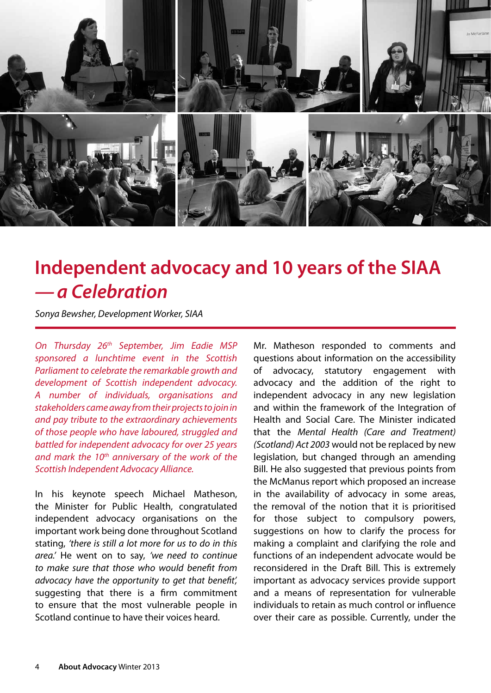

### **Independent advocacy and 10 years of the SIAA** *—a Celebration*

*Sonya Bewsher, Development Worker, SIAA*

*On Thursday 26th September, Jim Eadie MSP sponsored a lunchtime event in the Scottish Parliament to celebrate the remarkable growth and development of Scottish independent advocacy. A number of individuals, organisations and stakeholders came away from their projects to join in and pay tribute to the extraordinary achievements of those people who have laboured, struggled and battled for independent advocacy for over 25 years and mark the 10th anniversary of the work of the Scottish Independent Advocacy Alliance.* 

In his keynote speech Michael Matheson, the Minister for Public Health, congratulated independent advocacy organisations on the important work being done throughout Scotland stating, *'there is still a lot more for us to do in this area.'* He went on to say, *'we need to continue to make sure that those who would benefit from advocacy have the opportunity to get that benefit',* suggesting that there is a firm commitment to ensure that the most vulnerable people in Scotland continue to have their voices heard.

Mr. Matheson responded to comments and questions about information on the accessibility of advocacy, statutory engagement with advocacy and the addition of the right to independent advocacy in any new legislation and within the framework of the Integration of Health and Social Care. The Minister indicated that the *Mental Health (Care and Treatment) (Scotland) Act 2003* would not be replaced by new legislation, but changed through an amending Bill. He also suggested that previous points from the McManus report which proposed an increase in the availability of advocacy in some areas, the removal of the notion that it is prioritised for those subject to compulsory powers, suggestions on how to clarify the process for making a complaint and clarifying the role and functions of an independent advocate would be reconsidered in the Draft Bill. This is extremely important as advocacy services provide support and a means of representation for vulnerable individuals to retain as much control or influence over their care as possible. Currently, under the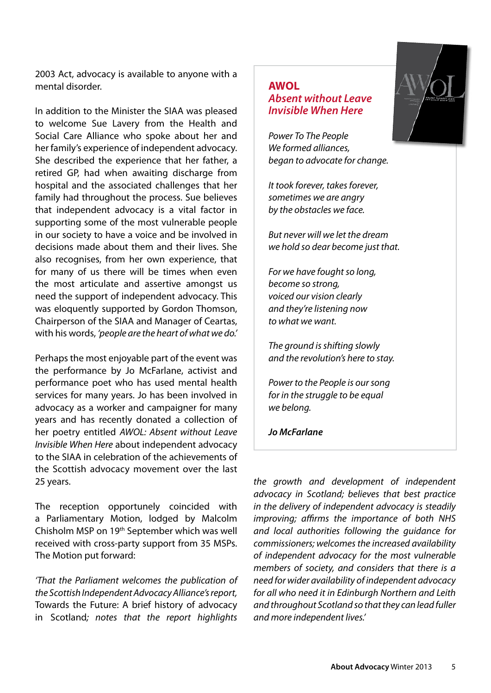2003 Act, advocacy is available to anyone with a mental disorder.

In addition to the Minister the SIAA was pleased to welcome Sue Lavery from the Health and Social Care Alliance who spoke about her and her family's experience of independent advocacy. She described the experience that her father, a retired GP, had when awaiting discharge from hospital and the associated challenges that her family had throughout the process. Sue believes that independent advocacy is a vital factor in supporting some of the most vulnerable people in our society to have a voice and be involved in decisions made about them and their lives. She also recognises, from her own experience, that for many of us there will be times when even the most articulate and assertive amongst us need the support of independent advocacy. This was eloquently supported by Gordon Thomson, Chairperson of the SIAA and Manager of Ceartas, with his words, *'people are the heart of what we do.'* 

Perhaps the most enjoyable part of the event was the performance by Jo McFarlane, activist and performance poet who has used mental health services for many years. Jo has been involved in advocacy as a worker and campaigner for many years and has recently donated a collection of her poetry entitled *AWOL: Absent without Leave Invisible When Here* about independent advocacy to the SIAA in celebration of the achievements of the Scottish advocacy movement over the last 25 years.

The reception opportunely coincided with a Parliamentary Motion, lodged by Malcolm Chisholm MSP on 19th September which was well received with cross-party support from 35 MSPs. The Motion put forward:

*'That the Parliament welcomes the publication of the Scottish Independent Advocacy Alliance's report,*  Towards the Future: A brief history of advocacy in Scotland*; notes that the report highlights* 

#### **AWOL** *Absent without Leave Invisible When Here*

*Power To The People We formed alliances, began to advocate for change.*

*It took forever, takes forever, sometimes we are angry by the obstacles we face.*

*But never will we let the dream we hold so dear become just that.*

*For we have fought so long, become so strong, voiced our vision clearly and they're listening now to what we want.*

*The ground is shifting slowly and the revolution's here to stay.*

*Power to the People is our song for in the struggle to be equal we belong.*

*Jo McFarlane*

*the growth and development of independent advocacy in Scotland; believes that best practice in the delivery of independent advocacy is steadily improving; affirms the importance of both NHS and local authorities following the guidance for commissioners; welcomes the increased availability of independent advocacy for the most vulnerable members of society, and considers that there is a need for wider availability of independent advocacy for all who need it in Edinburgh Northern and Leith and throughout Scotland so that they can lead fuller and more independent lives.'*

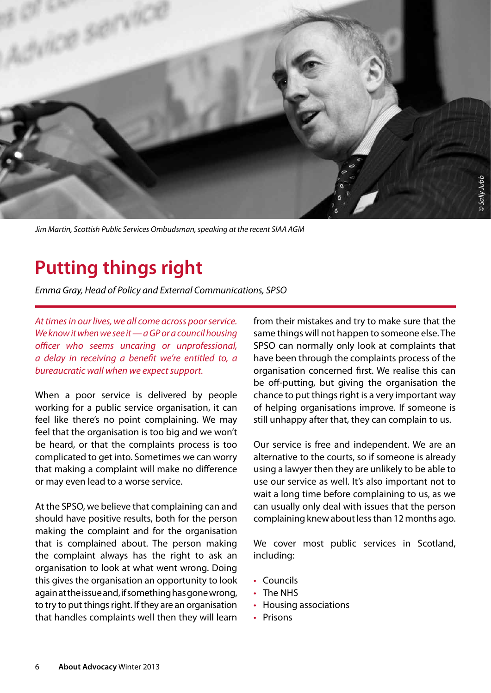

*Jim Martin, Scottish Public Services Ombudsman, speaking at the recent SIAA AGM*

# **Putting things right**

*Emma Gray, Head of Policy and External Communications, SPSO*

*At times in our lives, we all come across poor service. We know it when we see it—a GP or a council housing officer who seems uncaring or unprofessional, a delay in receiving a benefit we're entitled to, a bureaucratic wall when we expect support.*

When a poor service is delivered by people working for a public service organisation, it can feel like there's no point complaining. We may feel that the organisation is too big and we won't be heard, or that the complaints process is too complicated to get into. Sometimes we can worry that making a complaint will make no difference or may even lead to a worse service.

At the SPSO, we believe that complaining can and should have positive results, both for the person making the complaint and for the organisation that is complained about. The person making the complaint always has the right to ask an organisation to look at what went wrong. Doing this gives the organisation an opportunity to look again at the issue and, if something has gone wrong, to try to put things right. If they are an organisation that handles complaints well then they will learn

from their mistakes and try to make sure that the same things will not happen to someone else. The SPSO can normally only look at complaints that have been through the complaints process of the organisation concerned first. We realise this can be off-putting, but giving the organisation the chance to put things right is a very important way of helping organisations improve. If someone is still unhappy after that, they can complain to us.

Our service is free and independent. We are an alternative to the courts, so if someone is already using a lawyer then they are unlikely to be able to use our service as well. It's also important not to wait a long time before complaining to us, as we can usually only deal with issues that the person complaining knew about less than 12 months ago.

We cover most public services in Scotland, including:

- • Councils
- The NHS
- Housing associations
- Prisons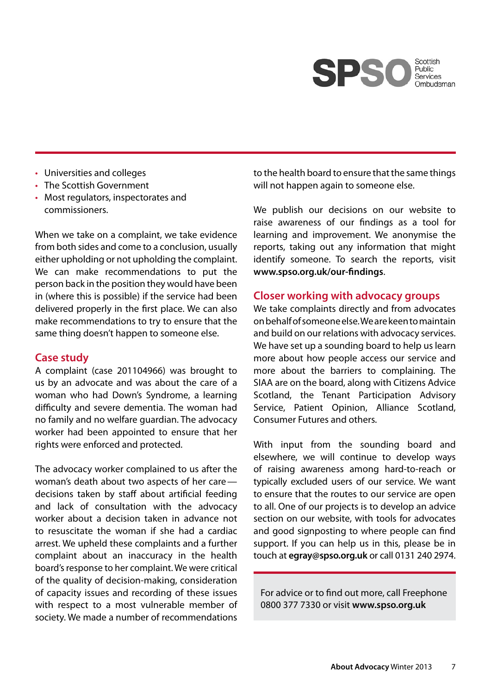

- Universities and colleges
- The Scottish Government
- Most regulators, inspectorates and commissioners.

When we take on a complaint, we take evidence from both sides and come to a conclusion, usually either upholding or not upholding the complaint. We can make recommendations to put the person back in the position they would have been in (where this is possible) if the service had been delivered properly in the first place. We can also make recommendations to try to ensure that the same thing doesn't happen to someone else.

#### **Case study**

A complaint (case 201104966) was brought to us by an advocate and was about the care of a woman who had Down's Syndrome, a learning difficulty and severe dementia. The woman had no family and no welfare guardian. The advocacy worker had been appointed to ensure that her rights were enforced and protected.

The advocacy worker complained to us after the woman's death about two aspects of her care decisions taken by staff about artificial feeding and lack of consultation with the advocacy worker about a decision taken in advance not to resuscitate the woman if she had a cardiac arrest. We upheld these complaints and a further complaint about an inaccuracy in the health board's response to her complaint. We were critical of the quality of decision-making, consideration of capacity issues and recording of these issues with respect to a most vulnerable member of society. We made a number of recommendations

to the health board to ensure that the same things will not happen again to someone else.

We publish our decisions on our website to raise awareness of our findings as a tool for learning and improvement. We anonymise the reports, taking out any information that might identify someone. To search the reports, visit **www.spso.org.uk/our-findings**.

#### **Closer working with advocacy groups**

We take complaints directly and from advocates on behalf of someone else. We are keen to maintain and build on our relations with advocacy services. We have set up a sounding board to help us learn more about how people access our service and more about the barriers to complaining. The SIAA are on the board, along with Citizens Advice Scotland, the Tenant Participation Advisory Service, Patient Opinion, Alliance Scotland, Consumer Futures and others.

With input from the sounding board and elsewhere, we will continue to develop ways of raising awareness among hard-to-reach or typically excluded users of our service. We want to ensure that the routes to our service are open to all. One of our projects is to develop an advice section on our website, with tools for advocates and good signposting to where people can find support. If you can help us in this, please be in touch at **egray@spso.org.uk** or call 0131 240 2974.

For advice or to find out more, call Freephone 0800 377 7330 or visit **www.spso.org.uk**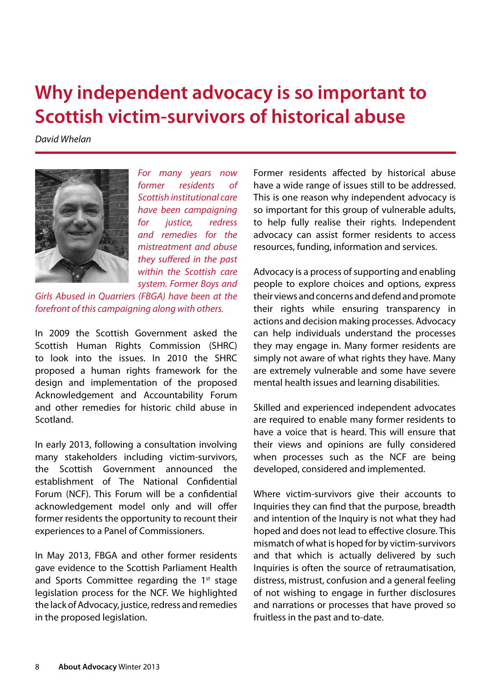# **Why independent advocacy is so important to Scottish victim-survivors of historical abuse**

*David Whelan*



*For many years now former residents of Scottish institutional care have been campaigning for justice, redress and remedies for the mistreatment and abuse they suffered in the past within the Scottish care system. Former Boys and* 

*Girls Abused in Quarriers (FBGA) have been at the forefront of this campaigning along with others.*

In 2009 the Scottish Government asked the Scottish Human Rights Commission (SHRC) to look into the issues. In 2010 the SHRC proposed a human rights framework for the design and implementation of the proposed Acknowledgement and Accountability Forum and other remedies for historic child abuse in Scotland.

In early 2013, following a consultation involving many stakeholders including victim-survivors, the Scottish Government announced the establishment of The National Confidential Forum (NCF). This Forum will be a confidential acknowledgement model only and will offer former residents the opportunity to recount their experiences to a Panel of Commissioners.

In May 2013, FBGA and other former residents gave evidence to the Scottish Parliament Health and Sports Committee regarding the  $1<sup>st</sup>$  stage legislation process for the NCF. We highlighted the lack of Advocacy, justice, redress and remedies in the proposed legislation.

Former residents affected by historical abuse have a wide range of issues still to be addressed. This is one reason why independent advocacy is so important for this group of vulnerable adults, to help fully realise their rights. Independent advocacy can assist former residents to access resources, funding, information and services.

Advocacy is a process of supporting and enabling people to explore choices and options, express their views and concerns and defend and promote their rights while ensuring transparency in actions and decision making processes. Advocacy can help individuals understand the processes they may engage in. Many former residents are simply not aware of what rights they have. Many are extremely vulnerable and some have severe mental health issues and learning disabilities.

Skilled and experienced independent advocates are required to enable many former residents to have a voice that is heard. This will ensure that their views and opinions are fully considered when processes such as the NCF are being developed, considered and implemented.

Where victim-survivors give their accounts to Inquiries they can find that the purpose, breadth and intention of the Inquiry is not what they had hoped and does not lead to effective closure. This mismatch of what is hoped for by victim-survivors and that which is actually delivered by such Inquiries is often the source of retraumatisation, distress, mistrust, confusion and a general feeling of not wishing to engage in further disclosures and narrations or processes that have proved so fruitless in the past and to-date.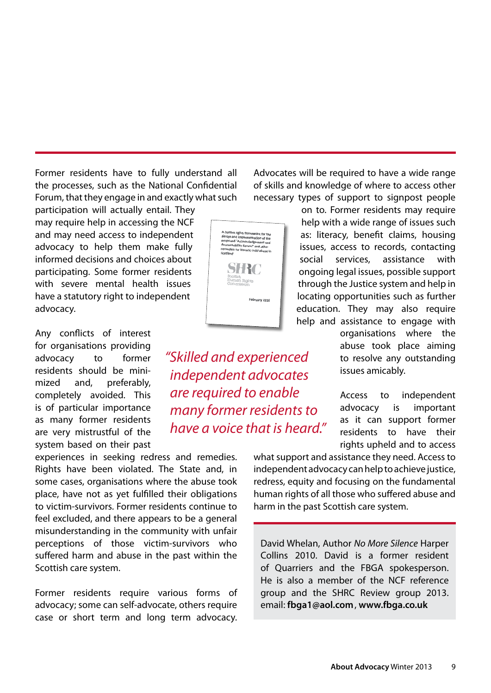Former residents have to fully understand all the processes, such as the National Confidential Forum, that they engage in and exactly what such

participation will actually entail. They may require help in accessing the NCF and may need access to independent advocacy to help them make fully informed decisions and choices about participating. Some former residents with severe mental health issues have a statutory right to independent advocacy.

Any conflicts of interest for organisations providing advocacy to former residents should be minimized and, preferably, completely avoided. This is of particular importance as many former residents are very mistrustful of the system based on their past

experiences in seeking redress and remedies. Rights have been violated. The State and, in some cases, organisations where the abuse took place, have not as yet fulfilled their obligations to victim-survivors. Former residents continue to feel excluded, and there appears to be a general misunderstanding in the community with unfair perceptions of those victim-survivors who suffered harm and abuse in the past within the Scottish care system.

Former residents require various forms of advocacy; some can self-advocate, others require case or short term and long term advocacy.

*"Skilled and experienced independent advocates are required to enable many former residents to have a voice that is heard."*

Advocates will be required to have a wide range of skills and knowledge of where to access other necessary types of support to signpost people

> on to. Former residents may require help with a wide range of issues such as: literacy, benefit claims, housing issues, access to records, contacting social services, assistance with ongoing legal issues, possible support through the Justice system and help in locating opportunities such as further education. They may also require help and assistance to engage with

> > organisations where the abuse took place aiming to resolve any outstanding issues amicably.

Access to independent advocacy is important as it can support former residents to have their rights upheld and to access

what support and assistance they need. Access to independent advocacy can help to achieve justice, redress, equity and focusing on the fundamental human rights of all those who suffered abuse and harm in the past Scottish care system.

David Whelan, Author *No More Silence* Harper Collins 2010. David is a former resident of Quarriers and the FBGA spokesperson. He is also a member of the NCF reference group and the SHRC Review group 2013. email: **fbga1@aol.com**, **www.fbga.co.uk**

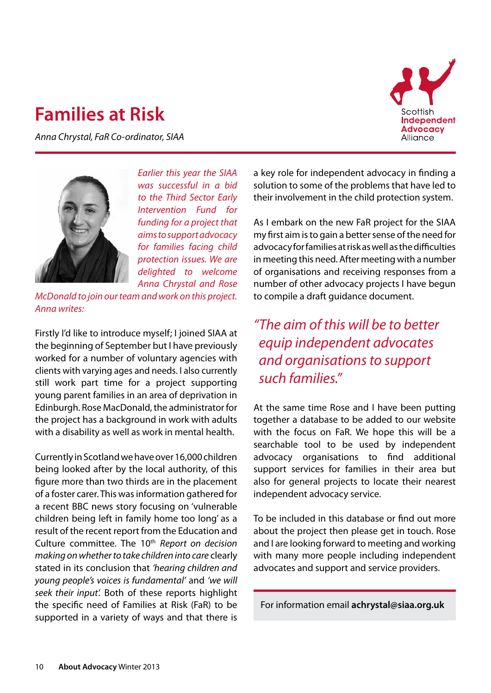### **Families at Risk**

*Anna Chrystal, FaR Co-ordinator, SIAA*





*Earlier this year the SIAA was successful in a bid to the Third Sector Early Intervention Fund for funding for a project that aims to support advocacy for families facing child protection issues. We are delighted to welcome Anna Chrystal and Rose* 

*McDonald to join our team and work on this project. Anna writes:*

Firstly I'd like to introduce myself; I joined SIAA at the beginning of September but I have previously worked for a number of voluntary agencies with clients with varying ages and needs. I also currently still work part time for a project supporting young parent families in an area of deprivation in Edinburgh. Rose MacDonald, the administrator for the project has a background in work with adults with a disability as well as work in mental health.

Currently in Scotland we have over 16,000 children being looked after by the local authority, of this figure more than two thirds are in the placement of a foster carer. This was information gathered for a recent BBC news story focusing on 'vulnerable children being left in family home too long' as a result of the recent report from the Education and Culture committee. The 10th *Report on decision making on whether to take children into care* clearly stated in its conclusion that *'hearing children and young people's voices is fundamental'* and *'we will seek their input'.* Both of these reports highlight the specific need of Families at Risk (FaR) to be supported in a variety of ways and that there is

a key role for independent advocacy in finding a solution to some of the problems that have led to their involvement in the child protection system.

As I embark on the new FaR project for the SIAA my first aim is to gain a better sense of the need for advocacy for families at risk as well as the difficulties in meeting this need. After meeting with a number of organisations and receiving responses from a number of other advocacy projects I have begun to compile a draft guidance document.

*"The aim of this will be to better equip independent advocates and organisations to support such families."*

At the same time Rose and I have been putting together a database to be added to our website with the focus on FaR. We hope this will be a searchable tool to be used by independent advocacy organisations to find additional support services for families in their area but also for general projects to locate their nearest independent advocacy service.

To be included in this database or find out more about the project then please get in touch. Rose and I are looking forward to meeting and working with many more people including independent advocates and support and service providers.

For information email **achrystal@siaa.org.uk**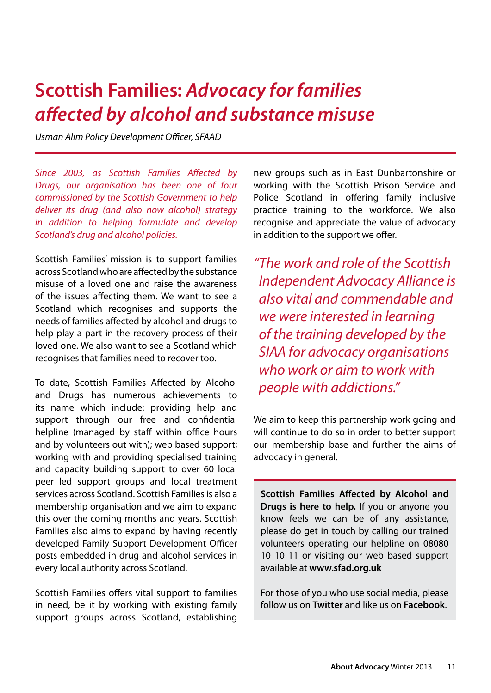### **Scottish Families:** *Advocacy for families affected by alcohol and substance misuse*

*Usman Alim Policy Development Officer, SFAAD*

*Since 2003, as Scottish Families Affected by Drugs, our organisation has been one of four commissioned by the Scottish Government to help deliver its drug (and also now alcohol) strategy in addition to helping formulate and develop Scotland's drug and alcohol policies.* 

Scottish Families' mission is to support families across Scotland who are affected by the substance misuse of a loved one and raise the awareness of the issues affecting them. We want to see a Scotland which recognises and supports the needs of families affected by alcohol and drugs to help play a part in the recovery process of their loved one. We also want to see a Scotland which recognises that families need to recover too.

To date, Scottish Families Affected by Alcohol and Drugs has numerous achievements to its name which include: providing help and support through our free and confidential helpline (managed by staff within office hours and by volunteers out with); web based support; working with and providing specialised training and capacity building support to over 60 local peer led support groups and local treatment services across Scotland. Scottish Families is also a membership organisation and we aim to expand this over the coming months and years. Scottish Families also aims to expand by having recently developed Family Support Development Officer posts embedded in drug and alcohol services in every local authority across Scotland.

Scottish Families offers vital support to families in need, be it by working with existing family support groups across Scotland, establishing new groups such as in East Dunbartonshire or working with the Scottish Prison Service and Police Scotland in offering family inclusive practice training to the workforce. We also recognise and appreciate the value of advocacy in addition to the support we offer.

*"The work and role of the Scottish Independent Advocacy Alliance is also vital and commendable and we were interested in learning of the training developed by the SIAA for advocacy organisations who work or aim to work with people with addictions."*

We aim to keep this partnership work going and will continue to do so in order to better support our membership base and further the aims of advocacy in general.

**Scottish Families Affected by Alcohol and Drugs is here to help.** If you or anyone you know feels we can be of any assistance, please do get in touch by calling our trained volunteers operating our helpline on 08080 10 10 11 or visiting our web based support available at **www.sfad.org.uk** 

For those of you who use social media, please follow us on **Twitter** and like us on **Facebook**.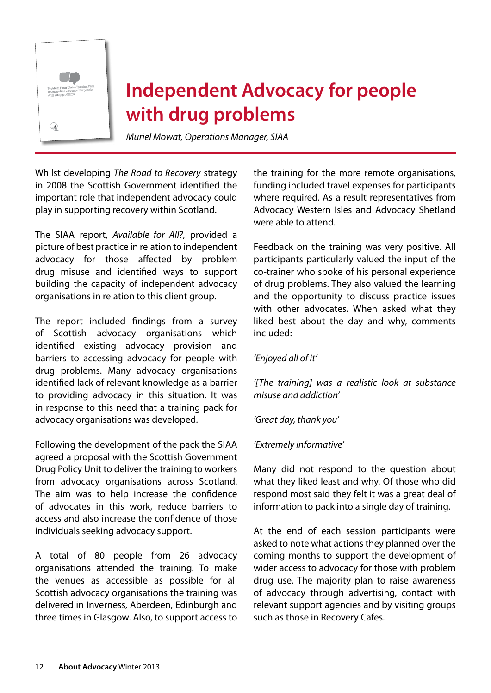

# **Independent Advocacy for people with drug problems**

*Muriel Mowat, Operations Manager, SIAA*

Whilst developing *The Road to Recovery* strategy in 2008 the Scottish Government identified the important role that independent advocacy could play in supporting recovery within Scotland.

The SIAA report, *Available for All?*, provided a picture of best practice in relation to independent advocacy for those affected by problem drug misuse and identified ways to support building the capacity of independent advocacy organisations in relation to this client group.

The report included findings from a survey of Scottish advocacy organisations which identified existing advocacy provision and barriers to accessing advocacy for people with drug problems. Many advocacy organisations identified lack of relevant knowledge as a barrier to providing advocacy in this situation. It was in response to this need that a training pack for advocacy organisations was developed.

Following the development of the pack the SIAA agreed a proposal with the Scottish Government Drug Policy Unit to deliver the training to workers from advocacy organisations across Scotland. The aim was to help increase the confidence of advocates in this work, reduce barriers to access and also increase the confidence of those individuals seeking advocacy support.

A total of 80 people from 26 advocacy organisations attended the training. To make the venues as accessible as possible for all Scottish advocacy organisations the training was delivered in Inverness, Aberdeen, Edinburgh and three times in Glasgow. Also, to support access to

the training for the more remote organisations, funding included travel expenses for participants where required. As a result representatives from Advocacy Western Isles and Advocacy Shetland were able to attend.

Feedback on the training was very positive. All participants particularly valued the input of the co-trainer who spoke of his personal experience of drug problems. They also valued the learning and the opportunity to discuss practice issues with other advocates. When asked what they liked best about the day and why, comments included:

#### *'Enjoyed all of it'*

*'[The training] was a realistic look at substance misuse and addiction'*

*'Great day, thank you'*

#### *'Extremely informative'*

Many did not respond to the question about what they liked least and why. Of those who did respond most said they felt it was a great deal of information to pack into a single day of training.

At the end of each session participants were asked to note what actions they planned over the coming months to support the development of wider access to advocacy for those with problem drug use. The majority plan to raise awareness of advocacy through advertising, contact with relevant support agencies and by visiting groups such as those in Recovery Cafes.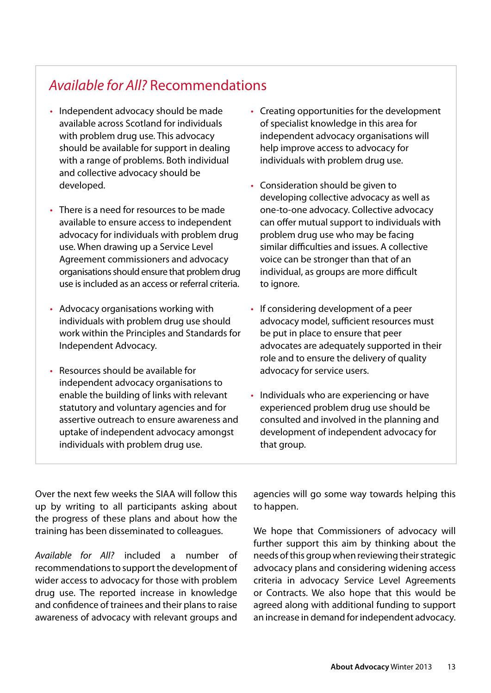### *Available for All?* Recommendations

- Independent advocacy should be made available across Scotland for individuals with problem drug use. This advocacy should be available for support in dealing with a range of problems. Both individual and collective advocacy should be developed.
- There is a need for resources to be made available to ensure access to independent advocacy for individuals with problem drug use. When drawing up a Service Level Agreement commissioners and advocacy organisations should ensure that problem drug use is included as an access or referral criteria.
- Advocacy organisations working with individuals with problem drug use should work within the Principles and Standards for Independent Advocacy.
- Resources should be available for independent advocacy organisations to enable the building of links with relevant statutory and voluntary agencies and for assertive outreach to ensure awareness and uptake of independent advocacy amongst individuals with problem drug use.
- Creating opportunities for the development of specialist knowledge in this area for independent advocacy organisations will help improve access to advocacy for individuals with problem drug use.
- Consideration should be given to developing collective advocacy as well as one-to-one advocacy. Collective advocacy can offer mutual support to individuals with problem drug use who may be facing similar difficulties and issues. A collective voice can be stronger than that of an individual, as groups are more difficult to ignore.
- If considering development of a peer advocacy model, sufficient resources must be put in place to ensure that peer advocates are adequately supported in their role and to ensure the delivery of quality advocacy for service users.
- Individuals who are experiencing or have experienced problem drug use should be consulted and involved in the planning and development of independent advocacy for that group.

Over the next few weeks the SIAA will follow this up by writing to all participants asking about the progress of these plans and about how the training has been disseminated to colleagues.

*Available for All?* included a number of recommendations to support the development of wider access to advocacy for those with problem drug use. The reported increase in knowledge and confidence of trainees and their plans to raise awareness of advocacy with relevant groups and

agencies will go some way towards helping this to happen.

We hope that Commissioners of advocacy will further support this aim by thinking about the needs of this group when reviewing their strategic advocacy plans and considering widening access criteria in advocacy Service Level Agreements or Contracts. We also hope that this would be agreed along with additional funding to support an increase in demand for independent advocacy.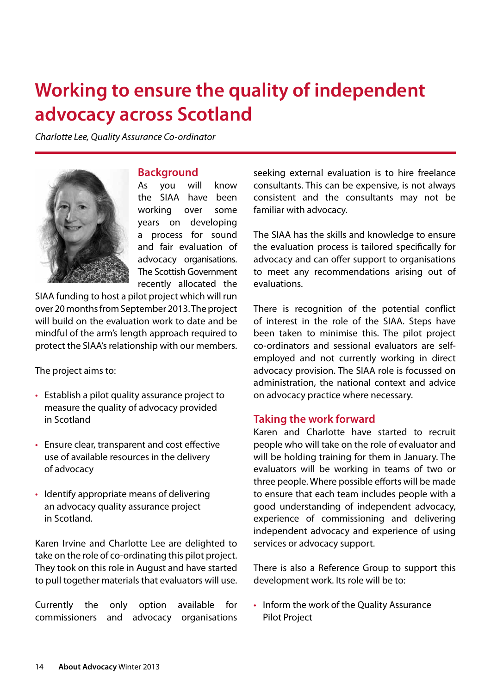# **Working to ensure the quality of independent advocacy across Scotland**

*Charlotte Lee, Quality Assurance Co-ordinator*



#### **Background**

As you will know the SIAA have been working over some years on developing a process for sound and fair evaluation of advocacy organisations. The Scottish Government recently allocated the

SIAA funding to host a pilot project which will run over 20 months from September 2013. The project will build on the evaluation work to date and be mindful of the arm's length approach required to protect the SIAA's relationship with our members.

The project aims to:

- Establish a pilot quality assurance project to measure the quality of advocacy provided in Scotland
- • Ensure clear, transparent and cost effective use of available resources in the delivery of advocacy
- Identify appropriate means of delivering an advocacy quality assurance project in Scotland.

Karen Irvine and Charlotte Lee are delighted to take on the role of co-ordinating this pilot project. They took on this role in August and have started to pull together materials that evaluators will use.

Currently the only option available for commissioners and advocacy organisations seeking external evaluation is to hire freelance consultants. This can be expensive, is not always consistent and the consultants may not be familiar with advocacy.

The SIAA has the skills and knowledge to ensure the evaluation process is tailored specifically for advocacy and can offer support to organisations to meet any recommendations arising out of evaluations.

There is recognition of the potential conflict of interest in the role of the SIAA. Steps have been taken to minimise this. The pilot project co-ordinators and sessional evaluators are selfemployed and not currently working in direct advocacy provision. The SIAA role is focussed on administration, the national context and advice on advocacy practice where necessary.

#### **Taking the work forward**

Karen and Charlotte have started to recruit people who will take on the role of evaluator and will be holding training for them in January. The evaluators will be working in teams of two or three people. Where possible efforts will be made to ensure that each team includes people with a good understanding of independent advocacy, experience of commissioning and delivering independent advocacy and experience of using services or advocacy support.

There is also a Reference Group to support this development work. Its role will be to:

• Inform the work of the Quality Assurance Pilot Project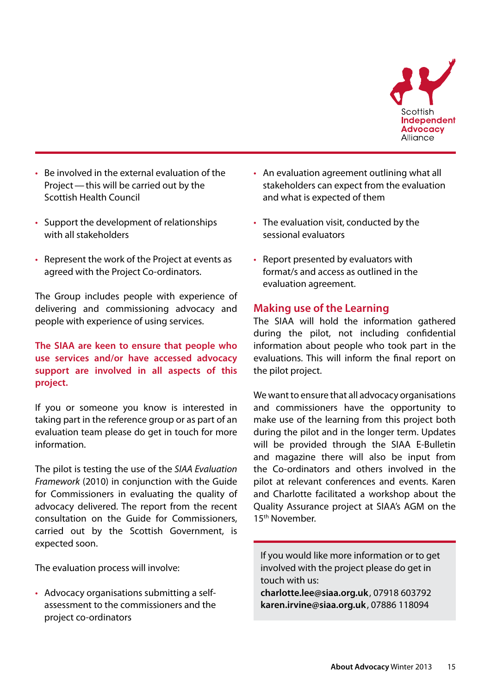

- Be involved in the external evaluation of the Project—this will be carried out by the Scottish Health Council
- Support the development of relationships with all stakeholders
- Represent the work of the Project at events as agreed with the Project Co-ordinators.

The Group includes people with experience of delivering and commissioning advocacy and people with experience of using services.

#### **The SIAA are keen to ensure that people who use services and/or have accessed advocacy support are involved in all aspects of this project.**

If you or someone you know is interested in taking part in the reference group or as part of an evaluation team please do get in touch for more information.

The pilot is testing the use of the *SIAA Evaluation Framework* (2010) in conjunction with the Guide for Commissioners in evaluating the quality of advocacy delivered. The report from the recent consultation on the Guide for Commissioners, carried out by the Scottish Government, is expected soon.

The evaluation process will involve:

• Advocacy organisations submitting a selfassessment to the commissioners and the project co-ordinators

- An evaluation agreement outlining what all stakeholders can expect from the evaluation and what is expected of them
- The evaluation visit, conducted by the sessional evaluators
- • Report presented by evaluators with format/s and access as outlined in the evaluation agreement.

#### **Making use of the Learning**

The SIAA will hold the information gathered during the pilot, not including confidential information about people who took part in the evaluations. This will inform the final report on the pilot project.

We want to ensure that all advocacy organisations and commissioners have the opportunity to make use of the learning from this project both during the pilot and in the longer term. Updates will be provided through the SIAA E-Bulletin and magazine there will also be input from the Co-ordinators and others involved in the pilot at relevant conferences and events. Karen and Charlotte facilitated a workshop about the Quality Assurance project at SIAA's AGM on the 15th November.

If you would like more information or to get involved with the project please do get in touch with us:

**charlotte.lee@siaa.org.uk**, 07918 603792 **karen.irvine@siaa.org.uk** , 07886 118094